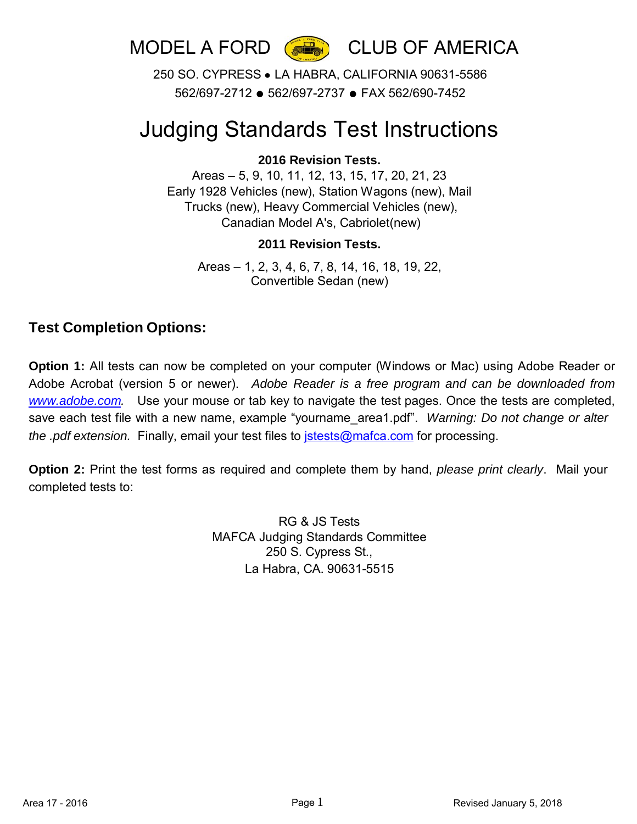

MODEL A FORD (

250 SO. CYPRESS ● LA HABRA, CALIFORNIA 90631-5586 562/697-2712 ● 562/697-2737 ● FAX 562/690-7452

# Judging Standards Test Instructions

#### **2016 Revision Tests.**

Areas – 5, 9, 10, 11, 12, 13, 15, 17, 20, 21, 23 Early 1928 Vehicles (new), Station Wagons (new), Mail Trucks (new), Heavy Commercial Vehicles (new), Canadian Model A's, Cabriolet(new)

#### **2011 Revision Tests.**

Areas – 1, 2, 3, 4, 6, 7, 8, 14, 16, 18, 19, 22, Convertible Sedan (new)

### **Test Completion Options:**

**Option 1:** All tests can now be completed on your computer (Windows or Mac) using Adobe Reader or Adobe Acrobat (version 5 or newer). *Adobe Reader is a free program and can be downloaded from [www.adobe.com.](http://www.adobe.com/)* Use your mouse or tab key to navigate the test pages. Once the tests are completed, save each test file with a new name, example "yourname\_area1.pdf". *Warning: Do not change or alter the .pdf extension.* Finally, email your test files to [jstests@mafca.com](mailto:jstests@mafca.com) for processing.

**Option 2:** Print the test forms as required and complete them by hand, *please print clearly*. Mail your completed tests to:

> RG & JS Tests MAFCA Judging Standards Committee 250 S. Cypress St., La Habra, CA. 90631-5515